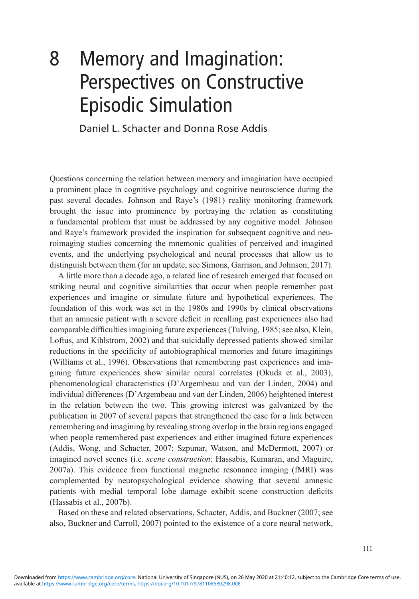# 8 Memory and Imagination: Perspectives on Constructive Episodic Simulation

## Daniel L. Schacter and Donna Rose Addis

Questions concerning the relation between memory and imagination have occupied a prominent place in cognitive psychology and cognitive neuroscience during the past several decades. Johnson and Raye's (1981) reality monitoring framework brought the issue into prominence by portraying the relation as constituting a fundamental problem that must be addressed by any cognitive model. Johnson and Raye's framework provided the inspiration for subsequent cognitive and neuroimaging studies concerning the mnemonic qualities of perceived and imagined events, and the underlying psychological and neural processes that allow us to distinguish between them (for an update, see Simons, Garrison, and Johnson, 2017).

A little more than a decade ago, a related line of research emerged that focused on striking neural and cognitive similarities that occur when people remember past experiences and imagine or simulate future and hypothetical experiences. The foundation of this work was set in the 1980s and 1990s by clinical observations that an amnesic patient with a severe deficit in recalling past experiences also had comparable difficulties imagining future experiences (Tulving, 1985; see also, Klein, Loftus, and Kihlstrom, 2002) and that suicidally depressed patients showed similar reductions in the specificity of autobiographical memories and future imaginings (Williams et al., 1996). Observations that remembering past experiences and imagining future experiences show similar neural correlates (Okuda et al., 2003), phenomenological characteristics (D'Argembeau and van der Linden, 2004) and individual differences (D'Argembeau and van der Linden, 2006) heightened interest in the relation between the two. This growing interest was galvanized by the publication in 2007 of several papers that strengthened the case for a link between remembering and imagining by revealing strong overlap in the brain regions engaged when people remembered past experiences and either imagined future experiences (Addis, Wong, and Schacter, 2007; Szpunar, Watson, and McDermott, 2007) or imagined novel scenes (i.e. scene construction: Hassabis, Kumaran, and Maguire, 2007a). This evidence from functional magnetic resonance imaging (fMRI) was complemented by neuropsychological evidence showing that several amnesic patients with medial temporal lobe damage exhibit scene construction deficits (Hassabis et al., 2007b).

Based on these and related observations, Schacter, Addis, and Buckner (2007; see also, Buckner and Carroll, 2007) pointed to the existence of a core neural network,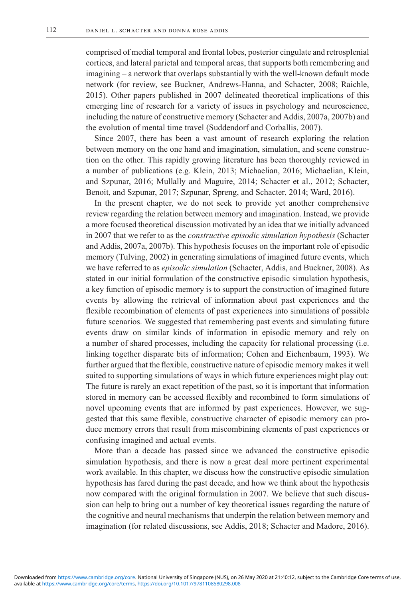comprised of medial temporal and frontal lobes, posterior cingulate and retrosplenial cortices, and lateral parietal and temporal areas, that supports both remembering and imagining – a network that overlaps substantially with the well-known default mode network (for review, see Buckner, Andrews-Hanna, and Schacter, 2008; Raichle, 2015). Other papers published in 2007 delineated theoretical implications of this emerging line of research for a variety of issues in psychology and neuroscience, including the nature of constructive memory (Schacter and Addis, 2007a, 2007b) and the evolution of mental time travel (Suddendorf and Corballis, 2007).

Since 2007, there has been a vast amount of research exploring the relation between memory on the one hand and imagination, simulation, and scene construction on the other. This rapidly growing literature has been thoroughly reviewed in a number of publications (e.g. Klein, 2013; Michaelian, 2016; Michaelian, Klein, and Szpunar, 2016; Mullally and Maguire, 2014; Schacter et al., 2012; Schacter, Benoit, and Szpunar, 2017; Szpunar, Spreng, and Schacter, 2014; Ward, 2016).

In the present chapter, we do not seek to provide yet another comprehensive review regarding the relation between memory and imagination. Instead, we provide a more focused theoretical discussion motivated by an idea that we initially advanced in 2007 that we refer to as the constructive episodic simulation hypothesis (Schacter and Addis, 2007a, 2007b). This hypothesis focuses on the important role of episodic memory (Tulving, 2002) in generating simulations of imagined future events, which we have referred to as *episodic simulation* (Schacter, Addis, and Buckner, 2008). As stated in our initial formulation of the constructive episodic simulation hypothesis, a key function of episodic memory is to support the construction of imagined future events by allowing the retrieval of information about past experiences and the flexible recombination of elements of past experiences into simulations of possible future scenarios. We suggested that remembering past events and simulating future events draw on similar kinds of information in episodic memory and rely on a number of shared processes, including the capacity for relational processing (i.e. linking together disparate bits of information; Cohen and Eichenbaum, 1993). We further argued that the flexible, constructive nature of episodic memory makes it well suited to supporting simulations of ways in which future experiences might play out: The future is rarely an exact repetition of the past, so it is important that information stored in memory can be accessed flexibly and recombined to form simulations of novel upcoming events that are informed by past experiences. However, we suggested that this same flexible, constructive character of episodic memory can produce memory errors that result from miscombining elements of past experiences or confusing imagined and actual events.

More than a decade has passed since we advanced the constructive episodic simulation hypothesis, and there is now a great deal more pertinent experimental work available. In this chapter, we discuss how the constructive episodic simulation hypothesis has fared during the past decade, and how we think about the hypothesis now compared with the original formulation in 2007. We believe that such discussion can help to bring out a number of key theoretical issues regarding the nature of the cognitive and neural mechanisms that underpin the relation between memory and imagination (for related discussions, see Addis, 2018; Schacter and Madore, 2016).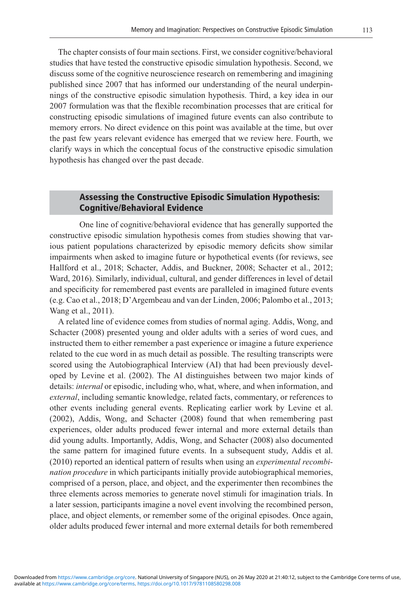The chapter consists of four main sections. First, we consider cognitive/behavioral studies that have tested the constructive episodic simulation hypothesis. Second, we discuss some of the cognitive neuroscience research on remembering and imagining published since 2007 that has informed our understanding of the neural underpinnings of the constructive episodic simulation hypothesis. Third, a key idea in our 2007 formulation was that the flexible recombination processes that are critical for constructing episodic simulations of imagined future events can also contribute to memory errors. No direct evidence on this point was available at the time, but over the past few years relevant evidence has emerged that we review here. Fourth, we clarify ways in which the conceptual focus of the constructive episodic simulation hypothesis has changed over the past decade.

## Assessing the Constructive Episodic Simulation Hypothesis: Cognitive/Behavioral Evidence

One line of cognitive/behavioral evidence that has generally supported the constructive episodic simulation hypothesis comes from studies showing that various patient populations characterized by episodic memory deficits show similar impairments when asked to imagine future or hypothetical events (for reviews, see Hallford et al., 2018; Schacter, Addis, and Buckner, 2008; Schacter et al., 2012; Ward, 2016). Similarly, individual, cultural, and gender differences in level of detail and specificity for remembered past events are paralleled in imagined future events (e.g. Cao et al., 2018; D'Argembeau and van der Linden, 2006; Palombo et al., 2013; Wang et al., 2011).

A related line of evidence comes from studies of normal aging. Addis, Wong, and Schacter (2008) presented young and older adults with a series of word cues, and instructed them to either remember a past experience or imagine a future experience related to the cue word in as much detail as possible. The resulting transcripts were scored using the Autobiographical Interview (AI) that had been previously developed by Levine et al. (2002). The AI distinguishes between two major kinds of details: internal or episodic, including who, what, where, and when information, and external, including semantic knowledge, related facts, commentary, or references to other events including general events. Replicating earlier work by Levine et al. (2002), Addis, Wong, and Schacter (2008) found that when remembering past experiences, older adults produced fewer internal and more external details than did young adults. Importantly, Addis, Wong, and Schacter (2008) also documented the same pattern for imagined future events. In a subsequent study, Addis et al. (2010) reported an identical pattern of results when using an experimental recombination procedure in which participants initially provide autobiographical memories, comprised of a person, place, and object, and the experimenter then recombines the three elements across memories to generate novel stimuli for imagination trials. In a later session, participants imagine a novel event involving the recombined person, place, and object elements, or remember some of the original episodes. Once again, older adults produced fewer internal and more external details for both remembered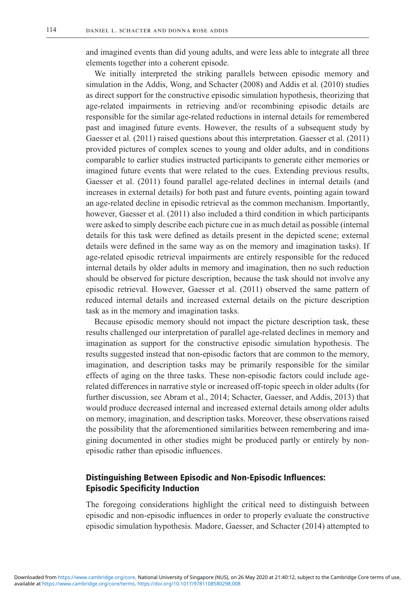and imagined events than did young adults, and were less able to integrate all three elements together into a coherent episode.

We initially interpreted the striking parallels between episodic memory and simulation in the Addis, Wong, and Schacter (2008) and Addis et al. (2010) studies as direct support for the constructive episodic simulation hypothesis, theorizing that age-related impairments in retrieving and/or recombining episodic details are responsible for the similar age-related reductions in internal details for remembered past and imagined future events. However, the results of a subsequent study by Gaesser et al. (2011) raised questions about this interpretation. Gaesser et al. (2011) provided pictures of complex scenes to young and older adults, and in conditions comparable to earlier studies instructed participants to generate either memories or imagined future events that were related to the cues. Extending previous results, Gaesser et al. (2011) found parallel age-related declines in internal details (and increases in external details) for both past and future events, pointing again toward an age-related decline in episodic retrieval as the common mechanism. Importantly, however, Gaesser et al. (2011) also included a third condition in which participants were asked to simply describe each picture cue in as much detail as possible (internal details for this task were defined as details present in the depicted scene; external details were defined in the same way as on the memory and imagination tasks). If age-related episodic retrieval impairments are entirely responsible for the reduced internal details by older adults in memory and imagination, then no such reduction should be observed for picture description, because the task should not involve any episodic retrieval. However, Gaesser et al. (2011) observed the same pattern of reduced internal details and increased external details on the picture description task as in the memory and imagination tasks.

Because episodic memory should not impact the picture description task, these results challenged our interpretation of parallel age-related declines in memory and imagination as support for the constructive episodic simulation hypothesis. The results suggested instead that non-episodic factors that are common to the memory, imagination, and description tasks may be primarily responsible for the similar effects of aging on the three tasks. These non-episodic factors could include agerelated differences in narrative style or increased off-topic speech in older adults (for further discussion, see Abram et al., 2014; Schacter, Gaesser, and Addis, 2013) that would produce decreased internal and increased external details among older adults on memory, imagination, and description tasks. Moreover, these observations raised the possibility that the aforementioned similarities between remembering and imagining documented in other studies might be produced partly or entirely by nonepisodic rather than episodic influences.

## Distinguishing Between Episodic and Non-Episodic Influences: Episodic Specificity Induction

The foregoing considerations highlight the critical need to distinguish between episodic and non-episodic influences in order to properly evaluate the constructive episodic simulation hypothesis. Madore, Gaesser, and Schacter (2014) attempted to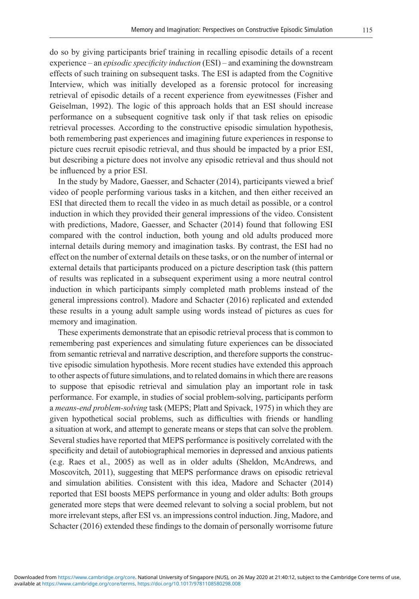do so by giving participants brief training in recalling episodic details of a recent experience – an episodic specificity induction (ESI) – and examining the downstream effects of such training on subsequent tasks. The ESI is adapted from the Cognitive Interview, which was initially developed as a forensic protocol for increasing retrieval of episodic details of a recent experience from eyewitnesses (Fisher and Geiselman, 1992). The logic of this approach holds that an ESI should increase performance on a subsequent cognitive task only if that task relies on episodic retrieval processes. According to the constructive episodic simulation hypothesis, both remembering past experiences and imagining future experiences in response to picture cues recruit episodic retrieval, and thus should be impacted by a prior ESI, but describing a picture does not involve any episodic retrieval and thus should not be influenced by a prior ESI.

In the study by Madore, Gaesser, and Schacter (2014), participants viewed a brief video of people performing various tasks in a kitchen, and then either received an ESI that directed them to recall the video in as much detail as possible, or a control induction in which they provided their general impressions of the video. Consistent with predictions, Madore, Gaesser, and Schacter (2014) found that following ESI compared with the control induction, both young and old adults produced more internal details during memory and imagination tasks. By contrast, the ESI had no effect on the number of external details on these tasks, or on the number of internal or external details that participants produced on a picture description task (this pattern of results was replicated in a subsequent experiment using a more neutral control induction in which participants simply completed math problems instead of the general impressions control). Madore and Schacter (2016) replicated and extended these results in a young adult sample using words instead of pictures as cues for memory and imagination.

These experiments demonstrate that an episodic retrieval process that is common to remembering past experiences and simulating future experiences can be dissociated from semantic retrieval and narrative description, and therefore supports the constructive episodic simulation hypothesis. More recent studies have extended this approach to other aspects of future simulations, and to related domains in which there are reasons to suppose that episodic retrieval and simulation play an important role in task performance. For example, in studies of social problem-solving, participants perform a means-end problem-solving task (MEPS; Platt and Spivack, 1975) in which they are given hypothetical social problems, such as difficulties with friends or handling a situation at work, and attempt to generate means or steps that can solve the problem. Several studies have reported that MEPS performance is positively correlated with the specificity and detail of autobiographical memories in depressed and anxious patients (e.g. Raes et al., 2005) as well as in older adults (Sheldon, McAndrews, and Moscovitch, 2011), suggesting that MEPS performance draws on episodic retrieval and simulation abilities. Consistent with this idea, Madore and Schacter (2014) reported that ESI boosts MEPS performance in young and older adults: Both groups generated more steps that were deemed relevant to solving a social problem, but not more irrelevant steps, after ESI vs. an impressions control induction. Jing, Madore, and Schacter (2016) extended these findings to the domain of personally worrisome future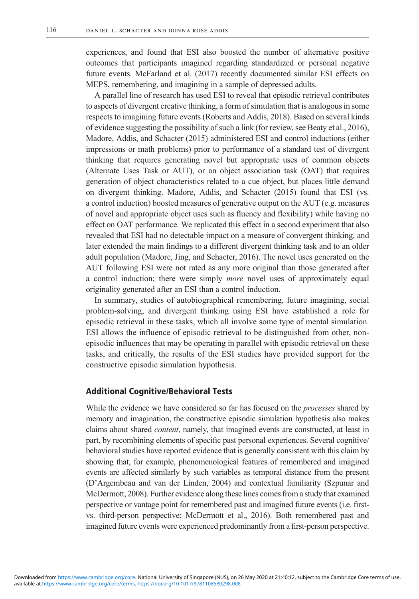experiences, and found that ESI also boosted the number of alternative positive outcomes that participants imagined regarding standardized or personal negative future events. McFarland et al. (2017) recently documented similar ESI effects on MEPS, remembering, and imagining in a sample of depressed adults.

A parallel line of research has used ESI to reveal that episodic retrieval contributes to aspects of divergent creative thinking, a form of simulation that is analogous in some respects to imagining future events (Roberts and Addis, 2018). Based on several kinds of evidence suggesting the possibility of such a link (for review, see Beaty et al., 2016), Madore, Addis, and Schacter (2015) administered ESI and control inductions (either impressions or math problems) prior to performance of a standard test of divergent thinking that requires generating novel but appropriate uses of common objects (Alternate Uses Task or AUT), or an object association task (OAT) that requires generation of object characteristics related to a cue object, but places little demand on divergent thinking. Madore, Addis, and Schacter (2015) found that ESI (vs. a control induction) boosted measures of generative output on the AUT (e.g. measures of novel and appropriate object uses such as fluency and flexibility) while having no effect on OAT performance. We replicated this effect in a second experiment that also revealed that ESI had no detectable impact on a measure of convergent thinking, and later extended the main findings to a different divergent thinking task and to an older adult population (Madore, Jing, and Schacter, 2016). The novel uses generated on the AUT following ESI were not rated as any more original than those generated after a control induction; there were simply more novel uses of approximately equal originality generated after an ESI than a control induction.

In summary, studies of autobiographical remembering, future imagining, social problem-solving, and divergent thinking using ESI have established a role for episodic retrieval in these tasks, which all involve some type of mental simulation. ESI allows the influence of episodic retrieval to be distinguished from other, nonepisodic influences that may be operating in parallel with episodic retrieval on these tasks, and critically, the results of the ESI studies have provided support for the constructive episodic simulation hypothesis.

#### Additional Cognitive/Behavioral Tests

While the evidence we have considered so far has focused on the *processes* shared by memory and imagination, the constructive episodic simulation hypothesis also makes claims about shared content, namely, that imagined events are constructed, at least in part, by recombining elements of specific past personal experiences. Several cognitive/ behavioral studies have reported evidence that is generally consistent with this claim by showing that, for example, phenomenological features of remembered and imagined events are affected similarly by such variables as temporal distance from the present (D'Argembeau and van der Linden, 2004) and contextual familiarity (Szpunar and McDermott, 2008). Further evidence along these lines comes from a study that examined perspective or vantage point for remembered past and imagined future events (i.e. firstvs. third-person perspective; McDermott et al., 2016). Both remembered past and imagined future events were experienced predominantly from a first-person perspective.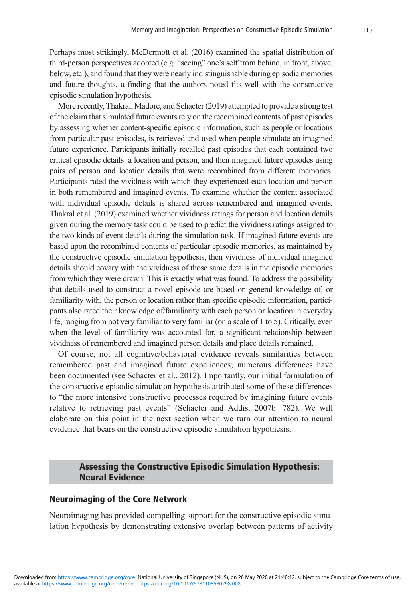Perhaps most strikingly, McDermott et al. (2016) examined the spatial distribution of third-person perspectives adopted (e.g. "seeing" one's self from behind, in front, above, below, etc.), and found that they were nearly indistinguishable during episodic memories and future thoughts, a finding that the authors noted fits well with the constructive episodic simulation hypothesis.

More recently, Thakral, Madore, and Schacter (2019) attempted to provide a strong test of the claim that simulated future events rely on the recombined contents of past episodes by assessing whether content-specific episodic information, such as people or locations from particular past episodes, is retrieved and used when people simulate an imagined future experience. Participants initially recalled past episodes that each contained two critical episodic details: a location and person, and then imagined future episodes using pairs of person and location details that were recombined from different memories. Participants rated the vividness with which they experienced each location and person in both remembered and imagined events. To examine whether the content associated with individual episodic details is shared across remembered and imagined events, Thakral et al. (2019) examined whether vividness ratings for person and location details given during the memory task could be used to predict the vividness ratings assigned to the two kinds of event details during the simulation task. If imagined future events are based upon the recombined contents of particular episodic memories, as maintained by the constructive episodic simulation hypothesis, then vividness of individual imagined details should covary with the vividness of those same details in the episodic memories from which they were drawn. This is exactly what was found. To address the possibility that details used to construct a novel episode are based on general knowledge of, or familiarity with, the person or location rather than specific episodic information, participants also rated their knowledge of/familiarity with each person or location in everyday life, ranging from not very familiar to very familiar (on a scale of 1 to 5). Critically, even when the level of familiarity was accounted for, a significant relationship between vividness of remembered and imagined person details and place details remained.

Of course, not all cognitive/behavioral evidence reveals similarities between remembered past and imagined future experiences; numerous differences have been documented (see Schacter et al., 2012). Importantly, our initial formulation of the constructive episodic simulation hypothesis attributed some of these differences to "the more intensive constructive processes required by imagining future events relative to retrieving past events" (Schacter and Addis, 2007b: 782). We will elaborate on this point in the next section when we turn our attention to neural evidence that bears on the constructive episodic simulation hypothesis.

## Assessing the Constructive Episodic Simulation Hypothesis: Neural Evidence

#### Neuroimaging of the Core Network

Neuroimaging has provided compelling support for the constructive episodic simulation hypothesis by demonstrating extensive overlap between patterns of activity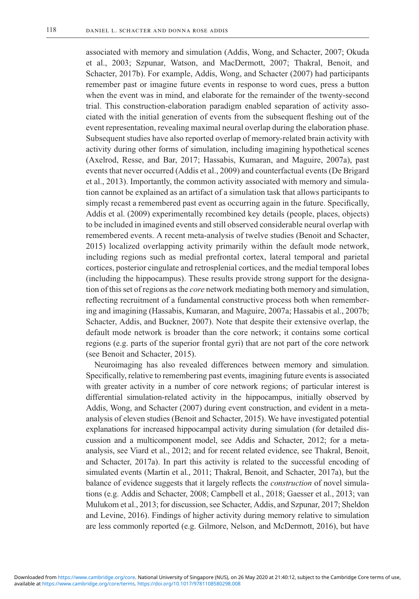associated with memory and simulation (Addis, Wong, and Schacter, 2007; Okuda et al., 2003; Szpunar, Watson, and MacDermott, 2007; Thakral, Benoit, and Schacter, 2017b). For example, Addis, Wong, and Schacter (2007) had participants remember past or imagine future events in response to word cues, press a button when the event was in mind, and elaborate for the remainder of the twenty-second trial. This construction-elaboration paradigm enabled separation of activity associated with the initial generation of events from the subsequent fleshing out of the event representation, revealing maximal neural overlap during the elaboration phase. Subsequent studies have also reported overlap of memory-related brain activity with activity during other forms of simulation, including imagining hypothetical scenes (Axelrod, Resse, and Bar, 2017; Hassabis, Kumaran, and Maguire, 2007a), past events that never occurred (Addis et al., 2009) and counterfactual events (De Brigard et al., 2013). Importantly, the common activity associated with memory and simulation cannot be explained as an artifact of a simulation task that allows participants to simply recast a remembered past event as occurring again in the future. Specifically, Addis et al. (2009) experimentally recombined key details (people, places, objects) to be included in imagined events and still observed considerable neural overlap with remembered events. A recent meta-analysis of twelve studies (Benoit and Schacter, 2015) localized overlapping activity primarily within the default mode network, including regions such as medial prefrontal cortex, lateral temporal and parietal cortices, posterior cingulate and retrosplenial cortices, and the medial temporal lobes (including the hippocampus). These results provide strong support for the designation of this set of regions as the core network mediating both memory and simulation, reflecting recruitment of a fundamental constructive process both when remembering and imagining (Hassabis, Kumaran, and Maguire, 2007a; Hassabis et al., 2007b; Schacter, Addis, and Buckner, 2007). Note that despite their extensive overlap, the default mode network is broader than the core network; it contains some cortical regions (e.g. parts of the superior frontal gyri) that are not part of the core network (see Benoit and Schacter, 2015).

Neuroimaging has also revealed differences between memory and simulation. Specifically, relative to remembering past events, imagining future events is associated with greater activity in a number of core network regions; of particular interest is differential simulation-related activity in the hippocampus, initially observed by Addis, Wong, and Schacter (2007) during event construction, and evident in a metaanalysis of eleven studies (Benoit and Schacter, 2015). We have investigated potential explanations for increased hippocampal activity during simulation (for detailed discussion and a multicomponent model, see Addis and Schacter, 2012; for a metaanalysis, see Viard et al., 2012; and for recent related evidence, see Thakral, Benoit, and Schacter, 2017a). In part this activity is related to the successful encoding of simulated events (Martin et al., 2011; Thakral, Benoit, and Schacter, 2017a), but the balance of evidence suggests that it largely reflects the construction of novel simulations (e.g. Addis and Schacter, 2008; Campbell et al., 2018; Gaesser et al., 2013; van Mulukom et al., 2013; for discussion, see Schacter, Addis, and Szpunar, 2017; Sheldon and Levine, 2016). Findings of higher activity during memory relative to simulation are less commonly reported (e.g. Gilmore, Nelson, and McDermott, 2016), but have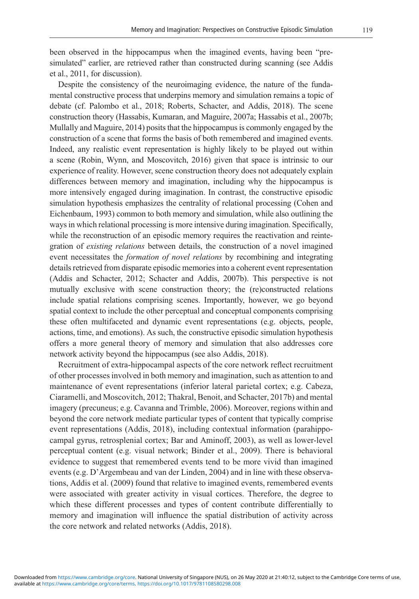been observed in the hippocampus when the imagined events, having been "presimulated" earlier, are retrieved rather than constructed during scanning (see Addis et al., 2011, for discussion).

Despite the consistency of the neuroimaging evidence, the nature of the fundamental constructive process that underpins memory and simulation remains a topic of debate (cf. Palombo et al., 2018; Roberts, Schacter, and Addis, 2018). The scene construction theory (Hassabis, Kumaran, and Maguire, 2007a; Hassabis et al., 2007b; Mullally and Maguire, 2014) posits that the hippocampus is commonly engaged by the construction of a scene that forms the basis of both remembered and imagined events. Indeed, any realistic event representation is highly likely to be played out within a scene (Robin, Wynn, and Moscovitch, 2016) given that space is intrinsic to our experience of reality. However, scene construction theory does not adequately explain differences between memory and imagination, including why the hippocampus is more intensively engaged during imagination. In contrast, the constructive episodic simulation hypothesis emphasizes the centrality of relational processing (Cohen and Eichenbaum, 1993) common to both memory and simulation, while also outlining the ways in which relational processing is more intensive during imagination. Specifically, while the reconstruction of an episodic memory requires the reactivation and reintegration of existing relations between details, the construction of a novel imagined event necessitates the *formation of novel relations* by recombining and integrating details retrieved from disparate episodic memories into a coherent event representation (Addis and Schacter, 2012; Schacter and Addis, 2007b). This perspective is not mutually exclusive with scene construction theory; the (re)constructed relations include spatial relations comprising scenes. Importantly, however, we go beyond spatial context to include the other perceptual and conceptual components comprising these often multifaceted and dynamic event representations (e.g. objects, people, actions, time, and emotions). As such, the constructive episodic simulation hypothesis offers a more general theory of memory and simulation that also addresses core network activity beyond the hippocampus (see also Addis, 2018).

Recruitment of extra-hippocampal aspects of the core network reflect recruitment of other processes involved in both memory and imagination, such as attention to and maintenance of event representations (inferior lateral parietal cortex; e.g. Cabeza, Ciaramelli, and Moscovitch, 2012; Thakral, Benoit, and Schacter, 2017b) and mental imagery (precuneus; e.g. Cavanna and Trimble, 2006). Moreover, regions within and beyond the core network mediate particular types of content that typically comprise event representations (Addis, 2018), including contextual information (parahippocampal gyrus, retrosplenial cortex; Bar and Aminoff, 2003), as well as lower-level perceptual content (e.g. visual network; Binder et al., 2009). There is behavioral evidence to suggest that remembered events tend to be more vivid than imagined events (e.g. D'Argembeau and van der Linden, 2004) and in line with these observations, Addis et al. (2009) found that relative to imagined events, remembered events were associated with greater activity in visual cortices. Therefore, the degree to which these different processes and types of content contribute differentially to memory and imagination will influence the spatial distribution of activity across the core network and related networks (Addis, 2018).

Downloaded from [https://www.cambridge.org/core.](https://www.cambridge.org/core) National University of Singapore (NUS), on 26 May 2020 at 21:40:12, subject to the Cambridge Core terms of use,

available at <https://www.cambridge.org/core/terms>.<https://doi.org/10.1017/9781108580298.008>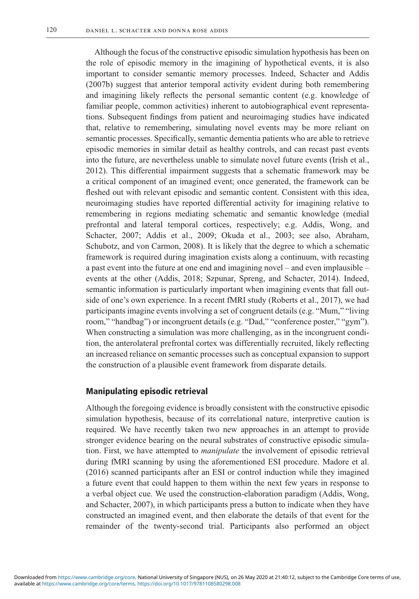Although the focus of the constructive episodic simulation hypothesis has been on the role of episodic memory in the imagining of hypothetical events, it is also important to consider semantic memory processes. Indeed, Schacter and Addis (2007b) suggest that anterior temporal activity evident during both remembering and imagining likely reflects the personal semantic content (e.g. knowledge of familiar people, common activities) inherent to autobiographical event representations. Subsequent findings from patient and neuroimaging studies have indicated that, relative to remembering, simulating novel events may be more reliant on semantic processes. Specifically, semantic dementia patients who are able to retrieve episodic memories in similar detail as healthy controls, and can recast past events into the future, are nevertheless unable to simulate novel future events (Irish et al., 2012). This differential impairment suggests that a schematic framework may be a critical component of an imagined event; once generated, the framework can be fleshed out with relevant episodic and semantic content. Consistent with this idea, neuroimaging studies have reported differential activity for imagining relative to remembering in regions mediating schematic and semantic knowledge (medial prefrontal and lateral temporal cortices, respectively; e.g. Addis, Wong, and Schacter, 2007; Addis et al., 2009; Okuda et al., 2003; see also, Abraham, Schubotz, and von Carmon, 2008). It is likely that the degree to which a schematic framework is required during imagination exists along a continuum, with recasting a past event into the future at one end and imagining novel – and even implausible – events at the other (Addis, 2018; Szpunar, Spreng, and Schacter, 2014). Indeed, semantic information is particularly important when imagining events that fall outside of one's own experience. In a recent fMRI study (Roberts et al., 2017), we had participants imagine events involving a set of congruent details (e.g. "Mum," "living room," "handbag") or incongruent details (e.g. "Dad," "conference poster," "gym"). When constructing a simulation was more challenging, as in the incongruent condition, the anterolateral prefrontal cortex was differentially recruited, likely reflecting an increased reliance on semantic processes such as conceptual expansion to support the construction of a plausible event framework from disparate details.

#### Manipulating episodic retrieval

Although the foregoing evidence is broadly consistent with the constructive episodic simulation hypothesis, because of its correlational nature, interpretive caution is required. We have recently taken two new approaches in an attempt to provide stronger evidence bearing on the neural substrates of constructive episodic simulation. First, we have attempted to manipulate the involvement of episodic retrieval during fMRI scanning by using the aforementioned ESI procedure. Madore et al. (2016) scanned participants after an ESI or control induction while they imagined a future event that could happen to them within the next few years in response to a verbal object cue. We used the construction-elaboration paradigm (Addis, Wong, and Schacter, 2007), in which participants press a button to indicate when they have constructed an imagined event, and then elaborate the details of that event for the remainder of the twenty-second trial. Participants also performed an object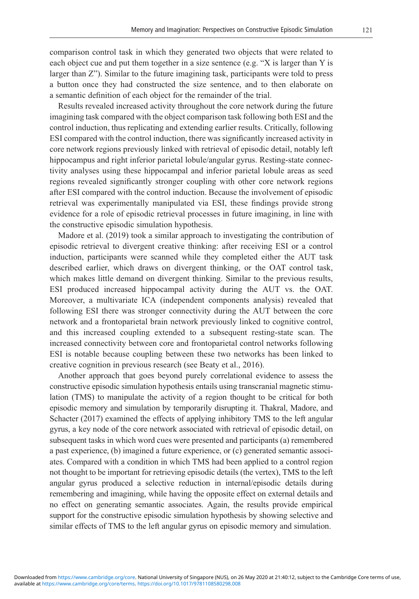comparison control task in which they generated two objects that were related to each object cue and put them together in a size sentence (e.g. "X is larger than Y is larger than Z"). Similar to the future imagining task, participants were told to press a button once they had constructed the size sentence, and to then elaborate on a semantic definition of each object for the remainder of the trial.

Results revealed increased activity throughout the core network during the future imagining task compared with the object comparison task following both ESI and the control induction, thus replicating and extending earlier results. Critically, following ESI compared with the control induction, there was significantly increased activity in core network regions previously linked with retrieval of episodic detail, notably left hippocampus and right inferior parietal lobule/angular gyrus. Resting-state connectivity analyses using these hippocampal and inferior parietal lobule areas as seed regions revealed significantly stronger coupling with other core network regions after ESI compared with the control induction. Because the involvement of episodic retrieval was experimentally manipulated via ESI, these findings provide strong evidence for a role of episodic retrieval processes in future imagining, in line with the constructive episodic simulation hypothesis.

Madore et al. (2019) took a similar approach to investigating the contribution of episodic retrieval to divergent creative thinking: after receiving ESI or a control induction, participants were scanned while they completed either the AUT task described earlier, which draws on divergent thinking, or the OAT control task, which makes little demand on divergent thinking. Similar to the previous results, ESI produced increased hippocampal activity during the AUT vs. the OAT. Moreover, a multivariate ICA (independent components analysis) revealed that following ESI there was stronger connectivity during the AUT between the core network and a frontoparietal brain network previously linked to cognitive control, and this increased coupling extended to a subsequent resting-state scan. The increased connectivity between core and frontoparietal control networks following ESI is notable because coupling between these two networks has been linked to creative cognition in previous research (see Beaty et al., 2016).

Another approach that goes beyond purely correlational evidence to assess the constructive episodic simulation hypothesis entails using transcranial magnetic stimulation (TMS) to manipulate the activity of a region thought to be critical for both episodic memory and simulation by temporarily disrupting it. Thakral, Madore, and Schacter (2017) examined the effects of applying inhibitory TMS to the left angular gyrus, a key node of the core network associated with retrieval of episodic detail, on subsequent tasks in which word cues were presented and participants (a) remembered a past experience, (b) imagined a future experience, or (c) generated semantic associates. Compared with a condition in which TMS had been applied to a control region not thought to be important for retrieving episodic details (the vertex), TMS to the left angular gyrus produced a selective reduction in internal/episodic details during remembering and imagining, while having the opposite effect on external details and no effect on generating semantic associates. Again, the results provide empirical support for the constructive episodic simulation hypothesis by showing selective and similar effects of TMS to the left angular gyrus on episodic memory and simulation.

available at <https://www.cambridge.org/core/terms>.<https://doi.org/10.1017/9781108580298.008>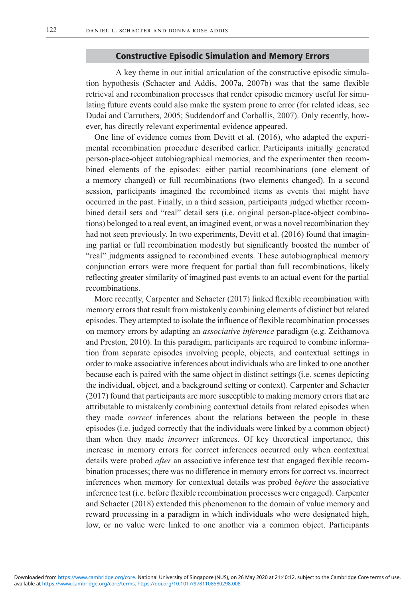#### Constructive Episodic Simulation and Memory Errors

A key theme in our initial articulation of the constructive episodic simulation hypothesis (Schacter and Addis, 2007a, 2007b) was that the same flexible retrieval and recombination processes that render episodic memory useful for simulating future events could also make the system prone to error (for related ideas, see Dudai and Carruthers, 2005; Suddendorf and Corballis, 2007). Only recently, however, has directly relevant experimental evidence appeared.

One line of evidence comes from Devitt et al. (2016), who adapted the experimental recombination procedure described earlier. Participants initially generated person-place-object autobiographical memories, and the experimenter then recombined elements of the episodes: either partial recombinations (one element of a memory changed) or full recombinations (two elements changed). In a second session, participants imagined the recombined items as events that might have occurred in the past. Finally, in a third session, participants judged whether recombined detail sets and "real" detail sets (i.e. original person-place-object combinations) belonged to a real event, an imagined event, or was a novel recombination they had not seen previously. In two experiments, Devitt et al. (2016) found that imagining partial or full recombination modestly but significantly boosted the number of "real" judgments assigned to recombined events. These autobiographical memory conjunction errors were more frequent for partial than full recombinations, likely reflecting greater similarity of imagined past events to an actual event for the partial recombinations.

More recently, Carpenter and Schacter (2017) linked flexible recombination with memory errors that result from mistakenly combining elements of distinct but related episodes. They attempted to isolate the influence of flexible recombination processes on memory errors by adapting an associative inference paradigm (e.g. Zeithamova and Preston, 2010). In this paradigm, participants are required to combine information from separate episodes involving people, objects, and contextual settings in order to make associative inferences about individuals who are linked to one another because each is paired with the same object in distinct settings (i.e. scenes depicting the individual, object, and a background setting or context). Carpenter and Schacter (2017) found that participants are more susceptible to making memory errors that are attributable to mistakenly combining contextual details from related episodes when they made correct inferences about the relations between the people in these episodes (i.e. judged correctly that the individuals were linked by a common object) than when they made *incorrect* inferences. Of key theoretical importance, this increase in memory errors for correct inferences occurred only when contextual details were probed *after* an associative inference test that engaged flexible recombination processes; there was no difference in memory errors for correct vs. incorrect inferences when memory for contextual details was probed before the associative inference test (i.e. before flexible recombination processes were engaged). Carpenter and Schacter (2018) extended this phenomenon to the domain of value memory and reward processing in a paradigm in which individuals who were designated high, low, or no value were linked to one another via a common object. Participants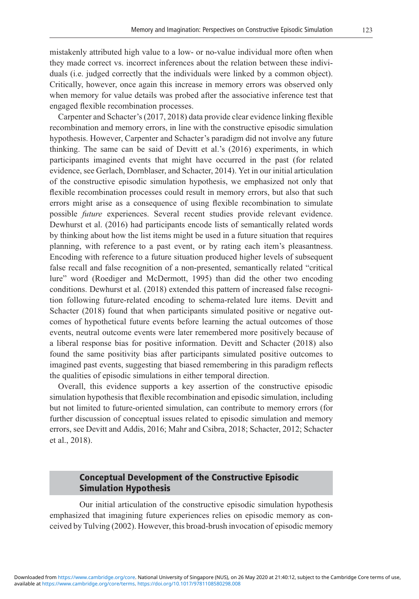mistakenly attributed high value to a low- or no-value individual more often when they made correct vs. incorrect inferences about the relation between these individuals (i.e. judged correctly that the individuals were linked by a common object). Critically, however, once again this increase in memory errors was observed only when memory for value details was probed after the associative inference test that engaged flexible recombination processes.

Carpenter and Schacter's (2017, 2018) data provide clear evidence linking flexible recombination and memory errors, in line with the constructive episodic simulation hypothesis. However, Carpenter and Schacter's paradigm did not involve any future thinking. The same can be said of Devitt et al.'s (2016) experiments, in which participants imagined events that might have occurred in the past (for related evidence, see Gerlach, Dornblaser, and Schacter, 2014). Yet in our initial articulation of the constructive episodic simulation hypothesis, we emphasized not only that flexible recombination processes could result in memory errors, but also that such errors might arise as a consequence of using flexible recombination to simulate possible future experiences. Several recent studies provide relevant evidence. Dewhurst et al. (2016) had participants encode lists of semantically related words by thinking about how the list items might be used in a future situation that requires planning, with reference to a past event, or by rating each item's pleasantness. Encoding with reference to a future situation produced higher levels of subsequent false recall and false recognition of a non-presented, semantically related "critical lure" word (Roediger and McDermott, 1995) than did the other two encoding conditions. Dewhurst et al. (2018) extended this pattern of increased false recognition following future-related encoding to schema-related lure items. Devitt and Schacter (2018) found that when participants simulated positive or negative outcomes of hypothetical future events before learning the actual outcomes of those events, neutral outcome events were later remembered more positively because of a liberal response bias for positive information. Devitt and Schacter (2018) also found the same positivity bias after participants simulated positive outcomes to imagined past events, suggesting that biased remembering in this paradigm reflects the qualities of episodic simulations in either temporal direction.

Overall, this evidence supports a key assertion of the constructive episodic simulation hypothesis that flexible recombination and episodic simulation, including but not limited to future-oriented simulation, can contribute to memory errors (for further discussion of conceptual issues related to episodic simulation and memory errors, see Devitt and Addis, 2016; Mahr and Csibra, 2018; Schacter, 2012; Schacter et al., 2018).

## Conceptual Development of the Constructive Episodic Simulation Hypothesis

Our initial articulation of the constructive episodic simulation hypothesis emphasized that imagining future experiences relies on episodic memory as conceived by Tulving (2002). However, this broad-brush invocation of episodic memory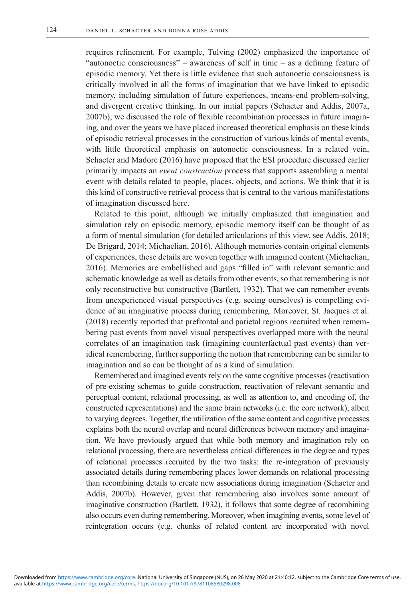requires refinement. For example, Tulving (2002) emphasized the importance of "autonoetic consciousness" – awareness of self in time – as a defining feature of episodic memory. Yet there is little evidence that such autonoetic consciousness is critically involved in all the forms of imagination that we have linked to episodic memory, including simulation of future experiences, means-end problem-solving, and divergent creative thinking. In our initial papers (Schacter and Addis, 2007a, 2007b), we discussed the role of flexible recombination processes in future imagining, and over the years we have placed increased theoretical emphasis on these kinds of episodic retrieval processes in the construction of various kinds of mental events, with little theoretical emphasis on autonoetic consciousness. In a related vein, Schacter and Madore (2016) have proposed that the ESI procedure discussed earlier primarily impacts an *event construction* process that supports assembling a mental event with details related to people, places, objects, and actions. We think that it is this kind of constructive retrieval process that is central to the various manifestations of imagination discussed here.

Related to this point, although we initially emphasized that imagination and simulation rely on episodic memory, episodic memory itself can be thought of as a form of mental simulation (for detailed articulations of this view, see Addis, 2018; De Brigard, 2014; Michaelian, 2016). Although memories contain original elements of experiences, these details are woven together with imagined content (Michaelian, 2016). Memories are embellished and gaps "filled in" with relevant semantic and schematic knowledge as well as details from other events, so that remembering is not only reconstructive but constructive (Bartlett, 1932). That we can remember events from unexperienced visual perspectives (e.g. seeing ourselves) is compelling evidence of an imaginative process during remembering. Moreover, St. Jacques et al. (2018) recently reported that prefrontal and parietal regions recruited when remembering past events from novel visual perspectives overlapped more with the neural correlates of an imagination task (imagining counterfactual past events) than veridical remembering, further supporting the notion that remembering can be similar to imagination and so can be thought of as a kind of simulation.

Remembered and imagined events rely on the same cognitive processes (reactivation of pre-existing schemas to guide construction, reactivation of relevant semantic and perceptual content, relational processing, as well as attention to, and encoding of, the constructed representations) and the same brain networks (i.e. the core network), albeit to varying degrees. Together, the utilization of the same content and cognitive processes explains both the neural overlap and neural differences between memory and imagination. We have previously argued that while both memory and imagination rely on relational processing, there are nevertheless critical differences in the degree and types of relational processes recruited by the two tasks: the re-integration of previously associated details during remembering places lower demands on relational processing than recombining details to create new associations during imagination (Schacter and Addis, 2007b). However, given that remembering also involves some amount of imaginative construction (Bartlett, 1932), it follows that some degree of recombining also occurs even during remembering. Moreover, when imagining events, some level of reintegration occurs (e.g. chunks of related content are incorporated with novel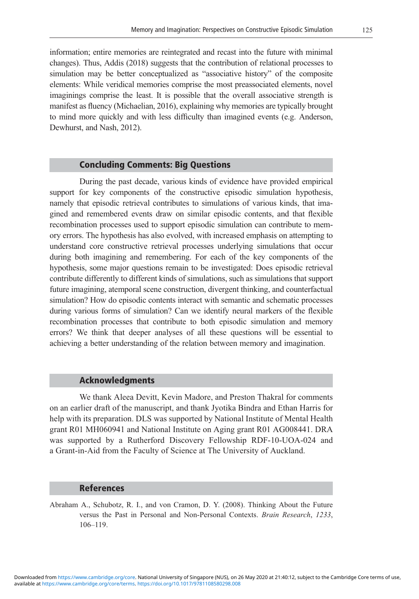information; entire memories are reintegrated and recast into the future with minimal changes). Thus, Addis (2018) suggests that the contribution of relational processes to simulation may be better conceptualized as "associative history" of the composite elements: While veridical memories comprise the most preassociated elements, novel imaginings comprise the least. It is possible that the overall associative strength is manifest as fluency (Michaelian, 2016), explaining why memories are typically brought to mind more quickly and with less difficulty than imagined events (e.g. Anderson, Dewhurst, and Nash, 2012).

#### Concluding Comments: Big Questions

During the past decade, various kinds of evidence have provided empirical support for key components of the constructive episodic simulation hypothesis, namely that episodic retrieval contributes to simulations of various kinds, that imagined and remembered events draw on similar episodic contents, and that flexible recombination processes used to support episodic simulation can contribute to memory errors. The hypothesis has also evolved, with increased emphasis on attempting to understand core constructive retrieval processes underlying simulations that occur during both imagining and remembering. For each of the key components of the hypothesis, some major questions remain to be investigated: Does episodic retrieval contribute differently to different kinds of simulations, such as simulations that support future imagining, atemporal scene construction, divergent thinking, and counterfactual simulation? How do episodic contents interact with semantic and schematic processes during various forms of simulation? Can we identify neural markers of the flexible recombination processes that contribute to both episodic simulation and memory errors? We think that deeper analyses of all these questions will be essential to achieving a better understanding of the relation between memory and imagination.

### Acknowledgments

We thank Aleea Devitt, Kevin Madore, and Preston Thakral for comments on an earlier draft of the manuscript, and thank Jyotika Bindra and Ethan Harris for help with its preparation. DLS was supported by National Institute of Mental Health grant R01 MH060941 and National Institute on Aging grant R01 AG008441. DRA was supported by a Rutherford Discovery Fellowship RDF-10-UOA-024 and a Grant-in-Aid from the Faculty of Science at The University of Auckland.

#### **References**

Abraham A., Schubotz, R. I., and von Cramon, D. Y. (2008). Thinking About the Future versus the Past in Personal and Non-Personal Contexts. Brain Research, 1233, 106–119.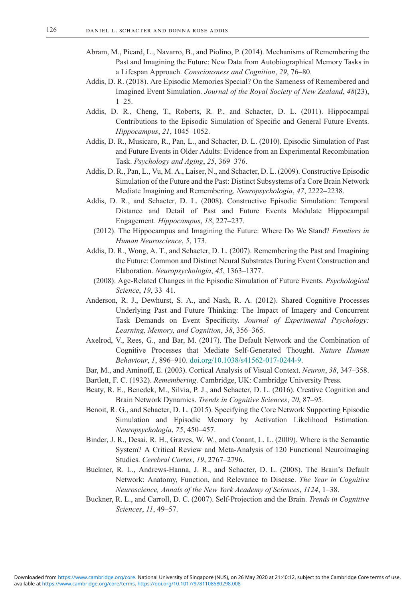- Abram, M., Picard, L., Navarro, B., and Piolino, P. (2014). Mechanisms of Remembering the Past and Imagining the Future: New Data from Autobiographical Memory Tasks in a Lifespan Approach. Consciousness and Cognition, 29, 76–80.
- Addis, D. R. (2018). Are Episodic Memories Special? On the Sameness of Remembered and Imagined Event Simulation. Journal of the Royal Society of New Zealand, 48(23), 1–25.
- Addis, D. R., Cheng, T., Roberts, R. P., and Schacter, D. L. (2011). Hippocampal Contributions to the Episodic Simulation of Specific and General Future Events. Hippocampus, 21, 1045–1052.
- Addis, D. R., Musicaro, R., Pan, L., and Schacter, D. L. (2010). Episodic Simulation of Past and Future Events in Older Adults: Evidence from an Experimental Recombination Task. Psychology and Aging, 25, 369–376.
- Addis, D. R., Pan, L., Vu, M. A., Laiser, N., and Schacter, D. L. (2009). Constructive Episodic Simulation of the Future and the Past: Distinct Subsystems of a Core Brain Network Mediate Imagining and Remembering. Neuropsychologia, 47, 2222–2238.
- Addis, D. R., and Schacter, D. L. (2008). Constructive Episodic Simulation: Temporal Distance and Detail of Past and Future Events Modulate Hippocampal Engagement. Hippocampus, 18, 227–237.
	- (2012). The Hippocampus and Imagining the Future: Where Do We Stand? Frontiers in Human Neuroscience, 5, 173.
- Addis, D. R., Wong, A. T., and Schacter, D. L. (2007). Remembering the Past and Imagining the Future: Common and Distinct Neural Substrates During Event Construction and Elaboration. Neuropsychologia, 45, 1363–1377.
	- (2008). Age-Related Changes in the Episodic Simulation of Future Events. Psychological Science, 19, 33–41.
- Anderson, R. J., Dewhurst, S. A., and Nash, R. A. (2012). Shared Cognitive Processes Underlying Past and Future Thinking: The Impact of Imagery and Concurrent Task Demands on Event Specificity. Journal of Experimental Psychology: Learning, Memory, and Cognition, 38, 356–365.
- Axelrod, V., Rees, G., and Bar, M. (2017). The Default Network and the Combination of Cognitive Processes that Mediate Self-Generated Thought. Nature Human Behaviour, 1, 896–910. [doi.org/10.1038/s41562-017-0244-9](http://doi.org/10.1038/s41562-017-0244-9).
- Bar, M., and Aminoff, E. (2003). Cortical Analysis of Visual Context. Neuron, 38, 347–358.
- Bartlett, F. C. (1932). Remembering. Cambridge, UK: Cambridge University Press.
- Beaty, R. E., Benedek, M., Silvia, P. J., and Schacter, D. L. (2016). Creative Cognition and Brain Network Dynamics. Trends in Cognitive Sciences, 20, 87–95.
- Benoit, R. G., and Schacter, D. L. (2015). Specifying the Core Network Supporting Episodic Simulation and Episodic Memory by Activation Likelihood Estimation. Neuropsychologia, 75, 450–457.
- Binder, J. R., Desai, R. H., Graves, W. W., and Conant, L. L. (2009). Where is the Semantic System? A Critical Review and Meta-Analysis of 120 Functional Neuroimaging Studies. Cerebral Cortex, 19, 2767–2796.
- Buckner, R. L., Andrews-Hanna, J. R., and Schacter, D. L. (2008). The Brain's Default Network: Anatomy, Function, and Relevance to Disease. The Year in Cognitive Neuroscience, Annals of the New York Academy of Sciences, 1124, 1–38.
- Buckner, R. L., and Carroll, D. C. (2007). Self-Projection and the Brain. Trends in Cognitive Sciences, 11, 49–57.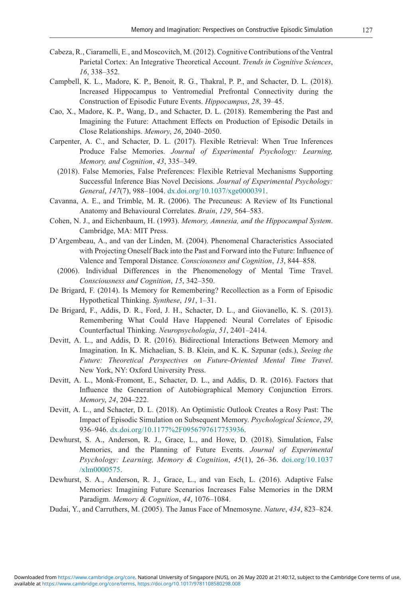- Cabeza, R., Ciaramelli, E., and Moscovitch, M. (2012). Cognitive Contributions of the Ventral Parietal Cortex: An Integrative Theoretical Account. Trends in Cognitive Sciences, 16, 338–352.
- Campbell, K. L., Madore, K. P., Benoit, R. G., Thakral, P. P., and Schacter, D. L. (2018). Increased Hippocampus to Ventromedial Prefrontal Connectivity during the Construction of Episodic Future Events. Hippocampus, 28, 39–45.
- Cao, X., Madore, K. P., Wang, D., and Schacter, D. L. (2018). Remembering the Past and Imagining the Future: Attachment Effects on Production of Episodic Details in Close Relationships. Memory, 26, 2040–2050.
- Carpenter, A. C., and Schacter, D. L. (2017). Flexible Retrieval: When True Inferences Produce False Memories. Journal of Experimental Psychology: Learning, Memory, and Cognition, 43, 335–349.
	- (2018). False Memories, False Preferences: Flexible Retrieval Mechanisms Supporting Successful Inference Bias Novel Decisions. Journal of Experimental Psychology: General, 147(7), 988–1004. [dx.doi.org/10.1037/xge0000391.](http://dx.doi.org/10.1037/xge0000391)
- Cavanna, A. E., and Trimble, M. R. (2006). The Precuneus: A Review of Its Functional Anatomy and Behavioural Correlates. Brain, 129, 564-583.
- Cohen, N. J., and Eichenbaum, H. (1993). Memory, Amnesia, and the Hippocampal System. Cambridge, MA: MIT Press.
- D'Argembeau, A., and van der Linden, M. (2004). Phenomenal Characteristics Associated with Projecting Oneself Back into the Past and Forward into the Future: Influence of Valence and Temporal Distance. Consciousness and Cognition, 13, 844–858.
	- (2006). Individual Differences in the Phenomenology of Mental Time Travel. Consciousness and Cognition, 15, 342–350.
- De Brigard, F. (2014). Is Memory for Remembering? Recollection as a Form of Episodic Hypothetical Thinking. Synthese, 191, 1–31.
- De Brigard, F., Addis, D. R., Ford, J. H., Schacter, D. L., and Giovanello, K. S. (2013). Remembering What Could Have Happened: Neural Correlates of Episodic Counterfactual Thinking. Neuropsychologia, 51, 2401–2414.
- Devitt, A. L., and Addis, D. R. (2016). Bidirectional Interactions Between Memory and Imagination. In K. Michaelian, S. B. Klein, and K. K. Szpunar (eds.), Seeing the Future: Theoretical Perspectives on Future-Oriented Mental Time Travel. New York, NY: Oxford University Press.
- Devitt, A. L., Monk-Fromont, E., Schacter, D. L., and Addis, D. R. (2016). Factors that Influence the Generation of Autobiographical Memory Conjunction Errors. Memory, 24, 204–222.
- Devitt, A. L., and Schacter, D. L. (2018). An Optimistic Outlook Creates a Rosy Past: The Impact of Episodic Simulation on Subsequent Memory. Psychological Science, 29, 936–946. [dx.doi.org/10.1177%2F0956797617753936.](http://dx.doi.org/10.1177%2F0956797617753936)
- Dewhurst, S. A., Anderson, R. J., Grace, L., and Howe, D. (2018). Simulation, False Memories, and the Planning of Future Events. Journal of Experimental Psychology: Learning, Memory & Cognition, 45(1), 26–36. [doi.org/10.1037](http://doi.org/10.1037/xlm0000575) [/xlm0000575.](http://doi.org/10.1037/xlm0000575)
- Dewhurst, S. A., Anderson, R. J., Grace, L., and van Esch, L. (2016). Adaptive False Memories: Imagining Future Scenarios Increases False Memories in the DRM Paradigm. Memory & Cognition, 44, 1076-1084.
- Dudai, Y., and Carruthers, M. (2005). The Janus Face of Mnemosyne. Nature, 434, 823–824.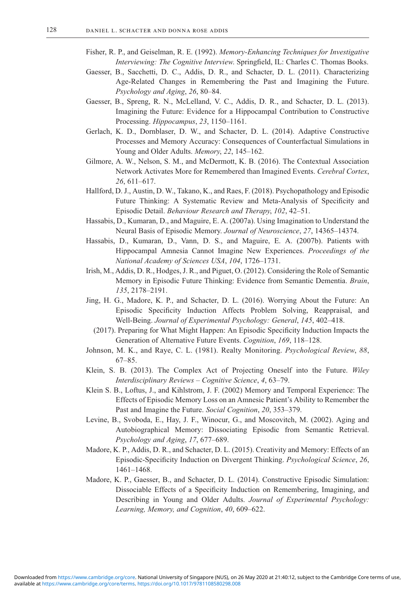- Fisher, R. P., and Geiselman, R. E. (1992). Memory-Enhancing Techniques for Investigative Interviewing: The Cognitive Interview. Springfield, IL: Charles C. Thomas Books.
- Gaesser, B., Sacchetti, D. C., Addis, D. R., and Schacter, D. L. (2011). Characterizing Age-Related Changes in Remembering the Past and Imagining the Future. Psychology and Aging, 26, 80–84.
- Gaesser, B., Spreng, R. N., McLelland, V. C., Addis, D. R., and Schacter, D. L. (2013). Imagining the Future: Evidence for a Hippocampal Contribution to Constructive Processing. Hippocampus, 23, 1150–1161.
- Gerlach, K. D., Dornblaser, D. W., and Schacter, D. L. (2014). Adaptive Constructive Processes and Memory Accuracy: Consequences of Counterfactual Simulations in Young and Older Adults. Memory, 22, 145–162.
- Gilmore, A. W., Nelson, S. M., and McDermott, K. B. (2016). The Contextual Association Network Activates More for Remembered than Imagined Events. Cerebral Cortex, 26, 611–617.
- Hallford, D. J., Austin, D. W., Takano, K., and Raes, F. (2018). Psychopathology and Episodic Future Thinking: A Systematic Review and Meta-Analysis of Specificity and Episodic Detail. Behaviour Research and Therapy, 102, 42–51.
- Hassabis, D., Kumaran, D., and Maguire, E. A. (2007a). Using Imagination to Understand the Neural Basis of Episodic Memory. Journal of Neuroscience, 27, 14365–14374.
- Hassabis, D., Kumaran, D., Vann, D. S., and Maguire, E. A. (2007b). Patients with Hippocampal Amnesia Cannot Imagine New Experiences. Proceedings of the National Academy of Sciences USA, 104, 1726–1731.
- Irish, M., Addis, D. R., Hodges, J. R., and Piguet, O. (2012). Considering the Role of Semantic Memory in Episodic Future Thinking: Evidence from Semantic Dementia. Brain, 135, 2178–2191.
- Jing, H. G., Madore, K. P., and Schacter, D. L. (2016). Worrying About the Future: An Episodic Specificity Induction Affects Problem Solving, Reappraisal, and Well-Being. Journal of Experimental Psychology: General, 145, 402–418.
	- (2017). Preparing for What Might Happen: An Episodic Specificity Induction Impacts the Generation of Alternative Future Events. Cognition, 169, 118–128.
- Johnson, M. K., and Raye, C. L. (1981). Realty Monitoring. Psychological Review, 88, 67–85.
- Klein, S. B. (2013). The Complex Act of Projecting Oneself into the Future. Wiley Interdisciplinary Reviews – Cognitive Science, 4, 63–79.
- Klein S. B., Loftus, J., and Kihlstrom, J. F. (2002) Memory and Temporal Experience: The Effects of Episodic Memory Loss on an Amnesic Patient's Ability to Remember the Past and Imagine the Future. Social Cognition, 20, 353–379.
- Levine, B., Svoboda, E., Hay, J. F., Winocur, G., and Moscovitch, M. (2002). Aging and Autobiographical Memory: Dissociating Episodic from Semantic Retrieval. Psychology and Aging, 17, 677–689.
- Madore, K. P., Addis, D. R., and Schacter, D. L. (2015). Creativity and Memory: Effects of an Episodic-Specificity Induction on Divergent Thinking. Psychological Science, 26, 1461–1468.
- Madore, K. P., Gaesser, B., and Schacter, D. L. (2014). Constructive Episodic Simulation: Dissociable Effects of a Specificity Induction on Remembering, Imagining, and Describing in Young and Older Adults. Journal of Experimental Psychology: Learning, Memory, and Cognition, 40, 609–622.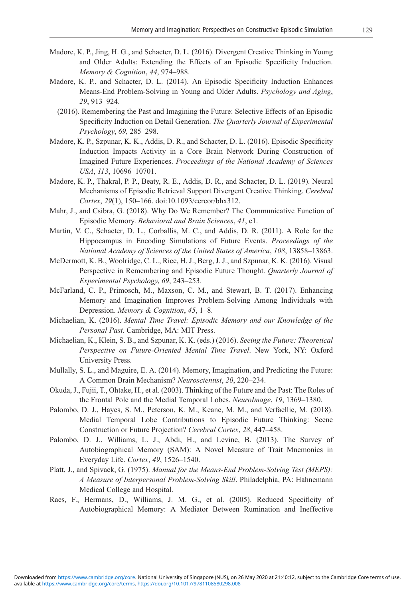- Madore, K. P., Jing, H. G., and Schacter, D. L. (2016). Divergent Creative Thinking in Young and Older Adults: Extending the Effects of an Episodic Specificity Induction. Memory & Cognition, 44, 974–988.
- Madore, K. P., and Schacter, D. L. (2014). An Episodic Specificity Induction Enhances Means-End Problem-Solving in Young and Older Adults. Psychology and Aging, 29, 913–924.
	- (2016). Remembering the Past and Imagining the Future: Selective Effects of an Episodic Specificity Induction on Detail Generation. The Quarterly Journal of Experimental Psychology, 69, 285–298.
- Madore, K. P., Szpunar, K. K., Addis, D. R., and Schacter, D. L. (2016). Episodic Specificity Induction Impacts Activity in a Core Brain Network During Construction of Imagined Future Experiences. Proceedings of the National Academy of Sciences USA, 113, 10696–10701.
- Madore, K. P., Thakral, P. P., Beaty, R. E., Addis, D. R., and Schacter, D. L. (2019). Neural Mechanisms of Episodic Retrieval Support Divergent Creative Thinking. Cerebral Cortex, 29(1), 150–166. doi:10.1093/cercor/bhx312.
- Mahr, J., and Csibra, G. (2018). Why Do We Remember? The Communicative Function of Episodic Memory. Behavioral and Brain Sciences, 41, e1.
- Martin, V. C., Schacter, D. L., Corballis, M. C., and Addis, D. R. (2011). A Role for the Hippocampus in Encoding Simulations of Future Events. Proceedings of the National Academy of Sciences of the United States of America, 108, 13858–13863.
- McDermott, K. B., Woolridge, C. L., Rice, H. J., Berg, J. J., and Szpunar, K. K. (2016). Visual Perspective in Remembering and Episodic Future Thought. Quarterly Journal of Experimental Psychology, 69, 243–253.
- McFarland, C. P., Primosch, M., Maxson, C. M., and Stewart, B. T. (2017). Enhancing Memory and Imagination Improves Problem-Solving Among Individuals with Depression. Memory & Cognition, 45, 1-8.
- Michaelian, K. (2016). Mental Time Travel: Episodic Memory and our Knowledge of the Personal Past. Cambridge, MA: MIT Press.
- Michaelian, K., Klein, S. B., and Szpunar, K. K. (eds.) (2016). Seeing the Future: Theoretical Perspective on Future-Oriented Mental Time Travel. New York, NY: Oxford University Press.
- Mullally, S. L., and Maguire, E. A. (2014). Memory, Imagination, and Predicting the Future: A Common Brain Mechanism? Neuroscientist, 20, 220–234.
- Okuda, J., Fujii, T., Ohtake, H., et al. (2003). Thinking of the Future and the Past: The Roles of the Frontal Pole and the Medial Temporal Lobes. NeuroImage, 19, 1369–1380.
- Palombo, D. J., Hayes, S. M., Peterson, K. M., Keane, M. M., and Verfaellie, M. (2018). Medial Temporal Lobe Contributions to Episodic Future Thinking: Scene Construction or Future Projection? Cerebral Cortex, 28, 447–458.
- Palombo, D. J., Williams, L. J., Abdi, H., and Levine, B. (2013). The Survey of Autobiographical Memory (SAM): A Novel Measure of Trait Mnemonics in Everyday Life. Cortex, 49, 1526–1540.
- Platt, J., and Spivack, G. (1975). Manual for the Means-End Problem-Solving Test (MEPS): A Measure of Interpersonal Problem-Solving Skill. Philadelphia, PA: Hahnemann Medical College and Hospital.
- Raes, F., Hermans, D., Williams, J. M. G., et al. (2005). Reduced Specificity of Autobiographical Memory: A Mediator Between Rumination and Ineffective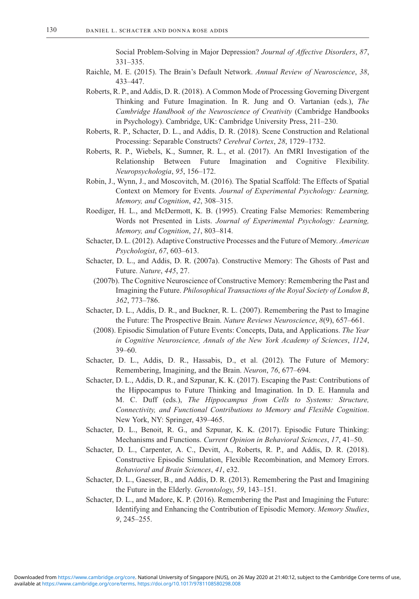Social Problem-Solving in Major Depression? Journal of Affective Disorders, 87, 331–335.

- Raichle, M. E. (2015). The Brain's Default Network. Annual Review of Neuroscience, 38, 433–447.
- Roberts, R. P., and Addis, D. R. (2018). A Common Mode of Processing Governing Divergent Thinking and Future Imagination. In R. Jung and O. Vartanian (eds.), The Cambridge Handbook of the Neuroscience of Creativity (Cambridge Handbooks in Psychology). Cambridge, UK: Cambridge University Press, 211–230.
- Roberts, R. P., Schacter, D. L., and Addis, D. R. (2018). Scene Construction and Relational Processing: Separable Constructs? Cerebral Cortex, 28, 1729–1732.
- Roberts, R. P., Wiebels, K., Sumner, R. L., et al. (2017). An fMRI Investigation of the Relationship Between Future Imagination and Cognitive Flexibility. Neuropsychologia, 95, 156–172.
- Robin, J., Wynn, J., and Moscovitch, M. (2016). The Spatial Scaffold: The Effects of Spatial Context on Memory for Events. Journal of Experimental Psychology: Learning, Memory, and Cognition, 42, 308–315.
- Roediger, H. L., and McDermott, K. B. (1995). Creating False Memories: Remembering Words not Presented in Lists. Journal of Experimental Psychology: Learning, Memory, and Cognition, 21, 803–814.
- Schacter, D. L. (2012). Adaptive Constructive Processes and the Future of Memory. American Psychologist, 67, 603–613.
- Schacter, D. L., and Addis, D. R. (2007a). Constructive Memory: The Ghosts of Past and Future. Nature, 445, 27.
	- (2007b). The Cognitive Neuroscience of Constructive Memory: Remembering the Past and Imagining the Future. Philosophical Transactions of the Royal Society of London B, 362, 773–786.
- Schacter, D. L., Addis, D. R., and Buckner, R. L. (2007). Remembering the Past to Imagine the Future: The Prospective Brain. Nature Reviews Neuroscience, 8(9), 657-661.
	- (2008). Episodic Simulation of Future Events: Concepts, Data, and Applications. The Year in Cognitive Neuroscience, Annals of the New York Academy of Sciences, 1124, 39–60.
- Schacter, D. L., Addis, D. R., Hassabis, D., et al. (2012). The Future of Memory: Remembering, Imagining, and the Brain. Neuron, 76, 677–694.
- Schacter, D. L., Addis, D. R., and Szpunar, K. K. (2017). Escaping the Past: Contributions of the Hippocampus to Future Thinking and Imagination. In D. E. Hannula and M. C. Duff (eds.), The Hippocampus from Cells to Systems: Structure, Connectivity, and Functional Contributions to Memory and Flexible Cognition. New York, NY: Springer, 439–465.
- Schacter, D. L., Benoit, R. G., and Szpunar, K. K. (2017). Episodic Future Thinking: Mechanisms and Functions. Current Opinion in Behavioral Sciences, 17, 41–50.
- Schacter, D. L., Carpenter, A. C., Devitt, A., Roberts, R. P., and Addis, D. R. (2018). Constructive Episodic Simulation, Flexible Recombination, and Memory Errors. Behavioral and Brain Sciences, 41, e32.
- Schacter, D. L., Gaesser, B., and Addis, D. R. (2013). Remembering the Past and Imagining the Future in the Elderly. Gerontology, 59, 143–151.
- Schacter, D. L., and Madore, K. P. (2016). Remembering the Past and Imagining the Future: Identifying and Enhancing the Contribution of Episodic Memory. Memory Studies, 9, 245–255.